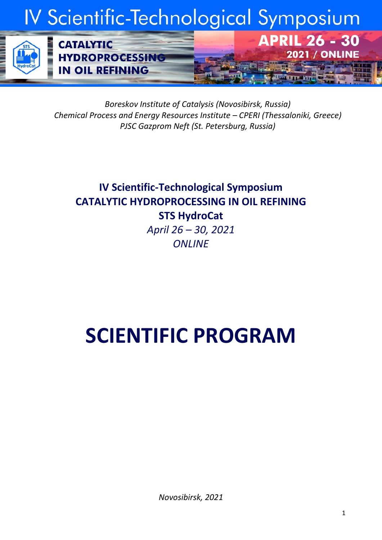# IV Scientific-Technological Symposium

**APRIL 26 - 30** 

**2021 / ONLINE** 



*Boreskov Institute of Catalysis (Novosibirsk, Russia) Chemical Process and Energy Resources Institute – CPERI (Thessaloniki, Greece) PJSC Gazprom Neft (St. Petersburg, Russia)*

# **IV Scientific-Technological Symposium CATALYTIC HYDROPROCESSING IN OIL REFINING STS HydroCat** *April 26 – 30, 2021 ONLINE*

# **SCIENTIFIC PROGRAM**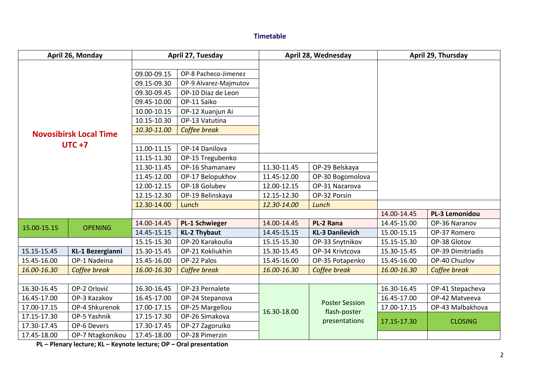#### **Timetable**

| April 26, Monday                           |                         | April 27, Tuesday                                                                                                                   |                                                                                                                                                                                | April 28, Wednesday |                                                        | April 29, Thursday    |                   |
|--------------------------------------------|-------------------------|-------------------------------------------------------------------------------------------------------------------------------------|--------------------------------------------------------------------------------------------------------------------------------------------------------------------------------|---------------------|--------------------------------------------------------|-----------------------|-------------------|
| <b>Novosibirsk Local Time</b><br>$UTC + 7$ |                         | 09.00-09.15<br>09.15-09.30<br>09.30-09.45<br>09.45-10.00<br>10.00-10.15<br>10.15-10.30<br>10.30-11.00<br>11.00-11.15<br>11.15-11.30 | OP-8 Pacheco-Jimenez<br>OP-9 Alvarez-Majmutov<br>OP-10 Diaz de Leon<br>OP-11 Saiko<br>OP-12 Xuanjun Ai<br>OP-13 Vatutina<br>Coffee break<br>OP-14 Danilova<br>OP-15 Tregubenko |                     |                                                        |                       |                   |
|                                            |                         | 11.30-11.45                                                                                                                         | OP-16 Shamanaev                                                                                                                                                                | 11.30-11.45         | OP-29 Belskaya                                         |                       |                   |
|                                            |                         | 11.45-12.00                                                                                                                         | OP-17 Belopukhov                                                                                                                                                               | 11.45-12.00         | OP-30 Bogomolova                                       |                       |                   |
|                                            |                         | 12.00-12.15                                                                                                                         | OP-18 Golubev                                                                                                                                                                  | 12.00-12.15         | OP-31 Nazarova                                         |                       |                   |
|                                            |                         | 12.15-12.30                                                                                                                         | OP-19 Belinskaya                                                                                                                                                               | 12.15-12.30         | OP-32 Porsin                                           |                       |                   |
|                                            |                         | 12.30-14.00                                                                                                                         | Lunch                                                                                                                                                                          | 12.30-14.00         | Lunch                                                  |                       |                   |
|                                            |                         |                                                                                                                                     |                                                                                                                                                                                |                     | 14.00-14.45                                            | <b>PL-3 Lemonidou</b> |                   |
| 15.00-15.15                                | <b>OPENING</b>          | 14.00-14.45                                                                                                                         | <b>PL-1 Schwieger</b>                                                                                                                                                          | 14.00-14.45         | PL-2 Rana                                              | 14.45-15.00           | OP-36 Naranov     |
|                                            |                         | 14.45-15.15                                                                                                                         | <b>KL-2 Thybaut</b>                                                                                                                                                            | 14.45-15.15         | <b>KL-3 Danilevich</b>                                 | 15.00-15.15           | OP-37 Romero      |
|                                            |                         | 15.15-15.30                                                                                                                         | OP-20 Karakoulia                                                                                                                                                               | 15.15-15.30         | OP-33 Snytnikov                                        | 15.15-15.30           | OP-38 Glotov      |
| 15.15-15.45                                | <b>KL-1 Bezergianni</b> | 15.30-15.45                                                                                                                         | OP-21 Kokliukhin                                                                                                                                                               | 15.30-15.45         | OP-34 Krivtcova                                        | 15.30-15.45           | OP-39 Dimitriadis |
| 15.45-16.00                                | OP-1 Nadeina            | 15.45-16.00                                                                                                                         | OP-22 Palos                                                                                                                                                                    | 15.45-16.00         | OP-35 Potapenko                                        | 15.45-16.00           | OP-40 Chuzlov     |
| 16.00-16.30                                | Coffee break            | 16.00-16.30                                                                                                                         | Coffee break                                                                                                                                                                   | 16.00-16.30         | Coffee break                                           | 16.00-16.30           | Coffee break      |
|                                            |                         |                                                                                                                                     |                                                                                                                                                                                |                     |                                                        |                       |                   |
| 16.30-16.45                                | OP-2 Orlović            | 16.30-16.45                                                                                                                         | OP-23 Pernalete                                                                                                                                                                | 16.30-18.00         | <b>Poster Session</b><br>flash-poster<br>presentations | 16.30-16.45           | OP-41 Stepacheva  |
| 16.45-17.00                                | OP-3 Kazakov            | 16.45-17.00                                                                                                                         | OP-24 Stepanova                                                                                                                                                                |                     |                                                        | 16.45-17.00           | OP-42 Matveeva    |
| 17.00-17.15                                | OP-4 Shkurenok          | 17.00-17.15                                                                                                                         | OP-25 Margellou                                                                                                                                                                |                     |                                                        | 17.00-17.15           | OP-43 Malbakhova  |
| 17.15-17.30                                | OP-5 Yashnik            | 17.15-17.30                                                                                                                         | OP-26 Simakova                                                                                                                                                                 |                     |                                                        | 17.15-17.30           | <b>CLOSING</b>    |
| 17.30-17.45                                | OP-6 Devers             | 17.30-17.45                                                                                                                         | OP-27 Zagoruiko                                                                                                                                                                |                     |                                                        |                       |                   |
| 17.45-18.00                                | OP-7 Ntagkonikou        | 17.45-18.00                                                                                                                         | OP-28 Pimerzin                                                                                                                                                                 |                     |                                                        |                       |                   |

**PL – Plenary lecture; KL – Keynote lecture; OP – Oral presentation**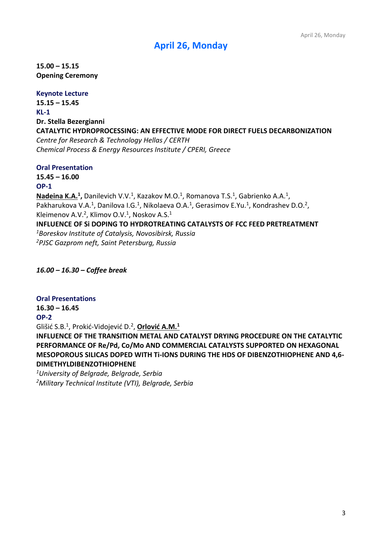# **April 26, Monday**

**15.00 – 15.15 Opening Ceremony**

#### **Keynote Lecture**

**15.15 – 15.45 KL-1 Dr. Stella Bezergianni CATALYTIC HYDROPROCESSING: AN EFFECTIVE MODE FOR DIRECT FUELS DECARBONIZATION** *Centre for Research & Technology Hellas / CERTH Chemical Process & Energy Resources Institute / CPERI, Greece*

#### **Oral Presentation**

**15.45 – 16.00**

#### **OP-1**

Nadeina K.A.<sup>1</sup>, Danilevich V.V.<sup>1</sup>, Kazakov M.O.<sup>1</sup>, Romanova T.S.<sup>1</sup>, Gabrienko A.A.<sup>1</sup>, Pakharukova V.A.<sup>1</sup>, Danilova I.G.<sup>1</sup>, Nikolaeva O.A.<sup>1</sup>, Gerasimov E.Yu.<sup>1</sup>, Kondrashev D.O.<sup>2</sup>, Kleimenov A.V.<sup>2</sup>, Klimov O.V.<sup>1</sup>, Noskov A.S.<sup>1</sup> **INFLUENCE OF Si DOPING TO HYDROTREATING CATALYSTS OF FCC FEED PRETREATMENT** *<sup>1</sup>Boreskov Institute of Catalysis, Novosibirsk, Russia <sup>2</sup>PJSC Gazprom neft, Saint Petersburg, Russia*

*16.00 – 16.30 – Coffee break*

#### **Oral Presentations**

#### **16.30 – 16.45**

#### **OP-2**

Glišić S.B.<sup>1</sup> , Prokić-Vidojević D.<sup>2</sup> , **Orlović A.M.<sup>1</sup>**

**INFLUENCE OF THE TRANSITION METAL AND CATALYST DRYING PROCEDURE ON THE CATALYTIC PERFORMANCE OF Re/Pd, Co/Mo AND COMMERCIAL CATALYSTS SUPPORTED ON HEXAGONAL MESOPOROUS SILICAS DOPED WITH Ti-IONS DURING THE HDS OF DIBENZOTHIOPHENE AND 4,6- DIMETHYLDIBENZOTHIOPHENE**

*<sup>1</sup>University of Belgrade, Belgrade, Serbia 2Military Technical Institute (VTI), Belgrade, Serbia*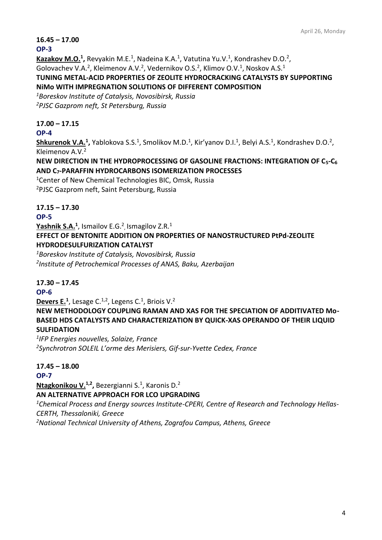# **16.45 – 17.00**

#### **OP-3**

Kazakov M.O.<sup>1</sup>, Revyakin M.E.<sup>1</sup>, Nadeina K.A.<sup>1</sup>, Vatutina Yu.V.<sup>1</sup>, Kondrashev D.O.<sup>2</sup>, Golovachev V.A.<sup>2</sup>, Kleimenov A.V.<sup>2</sup>, Vedernikov O.S.<sup>2</sup>, Klimov O.V.<sup>1</sup>, Noskov A.S.<sup>1</sup> **TUNING METAL-ACID PROPERTIES OF ZEOLITE HYDROCRACKING CATALYSTS BY SUPPORTING NiMo WITH IMPREGNATION SOLUTIONS OF DIFFERENT COMPOSITION**

*<sup>1</sup>Boreskov Institute of Catalysis, Novosibirsk, Russia <sup>2</sup>PJSC Gazprom neft, St Petersburg, Russia*

# **17.00 – 17.15**

#### **OP-4**

Shkurenok V.A.<sup>1</sup>, Yablokova S.S.<sup>1</sup>, Smolikov M.D.<sup>1</sup>, Kir'yanov D.I.<sup>1</sup>, Belyi A.S.<sup>1</sup>, Kondrashev D.O.<sup>2</sup>, Kleimenov A.V.<sup>2</sup>

**NEW DIRECTION IN THE HYDROPROCESSING OF GASOLINE FRACTIONS: INTEGRATION OF C5-C<sup>6</sup> AND C7-PARAFFIN HYDROCARBONS ISOMERIZATION PROCESSES**

<sup>1</sup>Center of New Chemical Technologies BIC, Omsk, Russia <sup>2</sup>PJSC Gazprom neft, Saint Petersburg, Russia

# **17.15 – 17.30**

# **OP-5**

**Yashnik S.A.<sup>1</sup>** , Ismailov E.G.<sup>2</sup> , Ismagilov Z.R.<sup>1</sup>

**EFFECT OF BENTONITE ADDITION ON PROPERTIES OF NANOSTRUCTURED PtPd-ZEOLITE HYDRODESULFURIZATION CATALYST**

*<sup>1</sup>Boreskov Institute of Catalysis, Novosibirsk, Russia 2 Institute of Petrochemical Processes of ANAS, Baku, Azerbaijan*

# **17.30 – 17.45**

#### **OP-6**

**Devers E.**<sup>1</sup>, Lesage C.<sup>1,2</sup>, Legens C.<sup>1</sup>, Briois V.<sup>2</sup>

**NEW METHODOLOGY COUPLING RAMAN AND XAS FOR THE SPECIATION OF ADDITIVATED Mo-BASED HDS CATALYSTS AND CHARACTERIZATION BY QUICK-XAS OPERANDO OF THEIR LIQUID SULFIDATION**

*1 IFP Energies nouvelles, Solaize, France <sup>2</sup>Synchrotron SOLEIL L'orme des Merisiers, Gif-sur-Yvette Cedex, France*

#### **17.45 – 18.00**

#### **OP-7**

**Ntagkonikou V.1,2 ,** Bezergianni S.<sup>1</sup> , Karonis D.<sup>2</sup>

#### **AN ALTERNATIVE APPROACH FOR LCO UPGRADING**

*1Chemical Process and Energy sources Institute-CPERI, Centre of Research and Technology Hellas-CERTH, Thessaloniki, Greece*

*2National Technical University of Athens, Zografou Campus, Athens, Greece*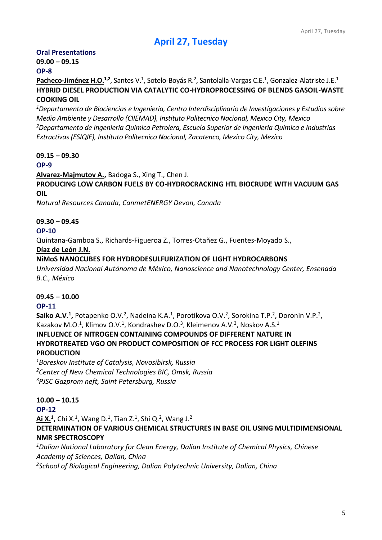# **April 27, Tuesday**

# **Oral Presentations**

# **09.00 – 09.15**

# **OP-8**

Pacheco-Jiménez H.O.<sup>1,2</sup>, Santes V.<sup>1</sup>, Sotelo-Boyás R.<sup>2</sup>, Santolalla-Vargas C.E.<sup>1</sup>, Gonzalez-Alatriste J.E.<sup>1</sup> **HYBRID DIESEL PRODUCTION VIA CATALYTIC CO-HYDROPROCESSING OF BLENDS GASOIL-WASTE COOKING OIL** 

*<sup>1</sup>Departamento de Biociencias e Ingenieria, Centro Interdisciplinario de Investigaciones y Estudios sobre Medio Ambiente y Desarrollo (CIIEMAD), Instituto Politecnico Nacional, Mexico City, Mexico <sup>2</sup>Departamento de Ingenieria Quimica Petrolera, Escuela Superior de Ingenieria Quimica e Industrias Extractivas (ESIQIE), Instituto Politecnico Nacional, Zacatenco, Mexico City, Mexico*

# **09.15 – 09.30**

#### **OP-9**

**Alvarez-Majmutov A.,** Badoga S., Xing T., Chen J.

**PRODUCING LOW CARBON FUELS BY CO-HYDROCRACKING HTL BIOCRUDE WITH VACUUM GAS OIL**

*Natural Resources Canada, CanmetENERGY Devon, Canada*

#### **09.30 – 09.45**

#### **OP-10**

Quintana-Gamboa S., Richards-Figueroa Z., Torres-Otañez G., Fuentes-Moyado S.,

#### **Díaz de León J.N.**

#### **NiMoS NANOCUBES FOR HYDRODESULFURIZATION OF LIGHT HYDROCARBONS**

*Universidad Nacional Autónoma de México, Nanoscience and Nanotechnology Center, Ensenada B.C., México*

#### **09.45 – 10.00**

#### **OP-11**

Saiko A.V.<sup>1</sup>, Potapenko O.V.<sup>2</sup>, Nadeina K.A.<sup>1</sup>, Porotikova O.V.<sup>2</sup>, Sorokina T.P.<sup>2</sup>, Doronin V.P.<sup>2</sup>, Kazakov M.O.<sup>1</sup>, Klimov O.V.<sup>1</sup>, Kondrashev D.O.<sup>3</sup>, Kleimenov A.V.<sup>3</sup>, Noskov A.S.<sup>1</sup> **INFLUENCE OF NITROGEN CONTAINING COMPOUNDS OF DIFFERENT NATURE IN HYDROTREATED VGO ON PRODUCT COMPOSITION OF FCC PROCESS FOR LIGHT OLEFINS PRODUCTION**

*<sup>1</sup>Boreskov Institute of Catalysis, Novosibirsk, Russia <sup>2</sup>Center of New Chemical Technologies BIC, Omsk, Russia <sup>3</sup>PJSC Gazprom neft, Saint Petersburg, Russia*

#### **10.00 – 10.15**

#### **OP-12**

**Ai X.<sup>1</sup> ,** Chi X.<sup>1</sup> , Wang D.<sup>1</sup> , Tian Z.<sup>1</sup> , Shi Q.<sup>2</sup> , Wang J.<sup>2</sup> **DETERMINATION OF VARIOUS CHEMICAL STRUCTURES IN BASE OIL USING MULTIDIMENSIONAL NMR SPECTROSCOPY**

*<sup>1</sup>Dalian National Laboratory for Clean Energy, Dalian Institute of Chemical Physics, Chinese Academy of Sciences, Dalian, China*

*2School of Biological Engineering, Dalian Polytechnic University, Dalian, China*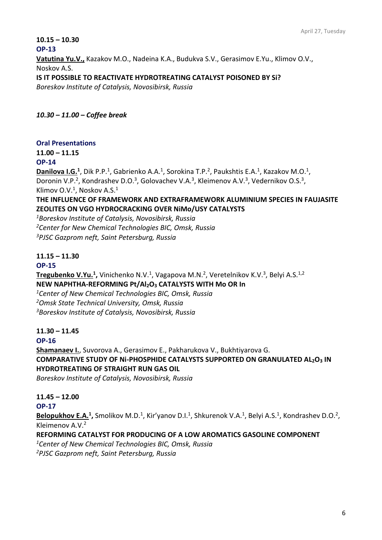#### **10.15 – 10.30**

**OP-13**

**Vatutina Yu.V.,** Kazakov M.O., Nadeina K.A., Budukva S.V., Gerasimov E.Yu., Klimov O.V., Noskov A.S.

**IS IT POSSIBLE TO REACTIVATE HYDROTREATING CATALYST POISONED BY Si?** 

*Boreskov Institute of Catalysis, Novosibirsk, Russia*

*10.30 – 11.00 – Coffee break*

#### **Oral Presentations**

**11.00 – 11.15**

**OP-14**

Danilova I.G.<sup>1</sup>, Dik P.P.<sup>1</sup>, Gabrienko A.A.<sup>1</sup>, Sorokina T.P.<sup>2</sup>, Paukshtis E.A.<sup>1</sup>, Kazakov M.O.<sup>1</sup>, Doronin V.P.<sup>2</sup>, Kondrashev D.O.<sup>3</sup>, Golovachev V.A.<sup>3</sup>, Kleimenov A.V.<sup>3</sup>, Vedernikov O.S.<sup>3</sup>, Klimov O.V.<sup>1</sup>, Noskov A.S.<sup>1</sup>

#### **THE INFLUENCE OF FRAMEWORK AND EXTRAFRAMEWORK ALUMINIUM SPECIES IN FAUJASITE ZEOLITES ON VGO HYDROCRACKING OVER NiMo/USY CATALYSTS**

*<sup>1</sup>Boreskov Institute of Catalysis, Novosibirsk, Russia <sup>2</sup>Center for New Chemical Technologies BIC, Omsk, Russia <sup>3</sup>PJSC Gazprom neft, Saint Petersburg, Russia*

# **11.15 – 11.30**

#### **OP-15**

Tregubenko V.Yu.<sup>1</sup>, Vinichenko N.V.<sup>1</sup>, Vagapova M.N.<sup>2</sup>, Veretelnikov K.V.<sup>3</sup>, Belyi A.S.<sup>1,2</sup> **NEW NAPHTHA-REFORMING Pt/Al2O<sup>3</sup> CATALYSTS WITH Mo OR In** 

*<sup>1</sup>Center of New Chemical Technologies BIC, Omsk, Russia <sup>2</sup>Omsk State Technical University, Omsk, Russia <sup>3</sup>Boreskov Institute of Catalysis, Novosibirsk, Russia*

# **11.30 – 11.45**

#### **OP-16**

**Shamanaev I.**, Suvorova A., Gerasimov E., Pakharukova V., Bukhtiyarova G. **COMPARATIVE STUDY OF Ni-PHOSPHIDE CATALYSTS SUPPORTED ON GRANULATED AL2O<sup>3</sup> IN HYDROTREATING OF STRAIGHT RUN GAS OIL**

*Boreskov Institute of Catalysis, Novosibirsk, Russia*

# **11.45 – 12.00**

#### **OP-17**

Belopukhov E.A.<sup>1</sup>, Smolikov M.D.<sup>1</sup>, Kir'yanov D.I.<sup>1</sup>, Shkurenok V.A.<sup>1</sup>, Belyi A.S.<sup>1</sup>, Kondrashev D.O.<sup>2</sup>, Kleimenov A.V.<sup>2</sup>

#### **REFORMING CATALYST FOR PRODUCING OF A LOW AROMATICS GASOLINE COMPONENT**

*<sup>1</sup>Center of New Chemical Technologies BIC, Omsk, Russia 2PJSC Gazprom neft, Saint Petersburg, Russia*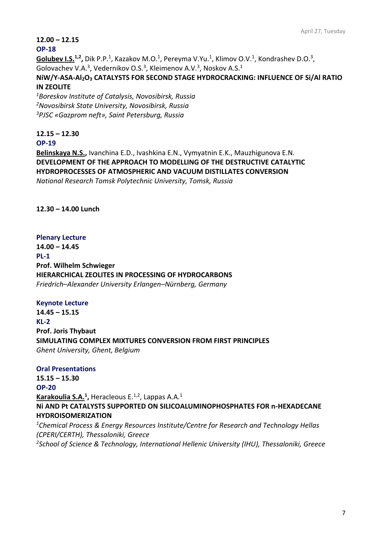#### **12.00 – 12.15**

#### **OP-18**

Golubev I.S.<sup>1,2</sup>, Dik P.P.<sup>1</sup>, Kazakov M.O.<sup>1</sup>, Pereyma V.Yu.<sup>1</sup>, Klimov O.V.<sup>1</sup>, Kondrashev D.O.<sup>3</sup>, Golovachev V.A.<sup>3</sup>, Vedernikov O.S.<sup>3</sup>, Kleimenov A.V.<sup>3</sup>, Noskov A.S.<sup>1</sup>

#### **NiW/Y-ASA-Al2O<sup>3</sup> CATALYSTS FOR SECOND STAGE HYDROCRACKING: INFLUENCE OF Si/Al RATIO IN ZEOLITE**

*<sup>1</sup>Boreskov Institute of Catalysis, Novosibirsk, Russia <sup>2</sup>Novosibirsk State University, Novosibirsk, Russia <sup>3</sup>PJSC «Gazprom neft», Saint Petersburg, Russia*

# **12.15 – 12.30**

#### **OP-19**

**Belinskaya N.S.,** Ivanchina E.D., Ivashkina E.N., Vymyatnin E.K., Mauzhigunova E.N. **DEVELOPMENT OF THE APPROACH TO MODELLING OF THE DESTRUCTIVE CATALYTIC HYDROPROCESSES OF ATMOSPHERIC AND VACUUM DISTILLATES CONVERSION** *National Research Tomsk Polytechnic University, Tomsk, Russia*

#### **12.30 – 14.00 Lunch**

#### **Plenary Lecture**

**14.00 – 14.45 PL-1 Prof. Wilhelm Schwieger HIERARCHICAL ZEOLITES IN PROCESSING OF HYDROCARBONS** *Friedrich–Alexander University Erlangen–Nürnberg, Germany*

#### **Keynote Lecture**

**14.45 – 15.15 KL-2 Prof. Joris Thybaut SIMULATING COMPLEX MIXTURES CONVERSION FROM FIRST PRINCIPLES** *Ghent University, Ghent, Belgium*

#### **Oral Presentations**

**15.15 – 15.30 OP-20 Karakoulia S.A.<sup>1</sup> ,** Heracleous E.1,2, Lappas A.A.<sup>1</sup> **Ni AND Pt CATALYSTS SUPPORTED ON SILICOALUMINOPHOSPHATES FOR n-HEXADECANE HYDROISOMERIZATION**

*<sup>1</sup>Chemical Process & Energy Resources Institute/Centre for Research and Technology Hellas (CPERI/CERTH), Thessaloniki, Greece 2School of Science & Technology, International Hellenic University (IHU), Thessaloniki, Greece*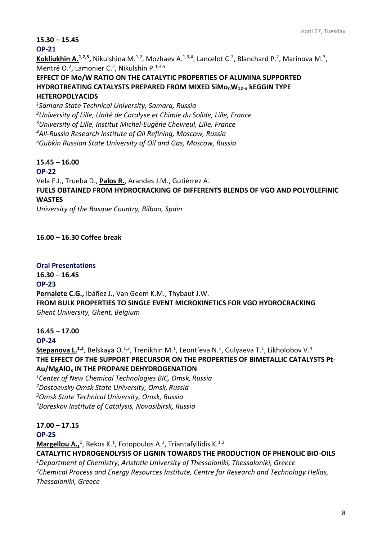**15.30 – 15.45**

#### **OP-21**

Kokliukhin A.<sup>1,2,5</sup>, Nikulshina M.<sup>1,2</sup>, Mozhaev A.<sup>1,3,4</sup>, Lancelot C.<sup>2</sup>, Blanchard P.<sup>2</sup>, Marinova M.<sup>3</sup>, Mentré O.<sup>2</sup>, Lamonier C.<sup>2</sup>, Nikulshin P.<sup>1,4,5</sup>

# **EFFECT OF Mo/W RATIO ON THE CATALYTIC PROPERTIES OF ALUMINA SUPPORTED HYDROTREATING CATALYSTS PREPARED FROM MIXED SiMonW12-n kEGGIN TYPE**

## **HETEROPOLYACIDS**

*Samara State Technical University, Samara, Russia University of Lille, Unité de Catalyse et Chimie du Solide, Lille, France University of Lille, Institut Michel-Eugène Chevreul, Lille, France All-Russia Research Institute of Oil Refining, Moscow, Russia Gubkin Russian State University of Oil and Gas, Moscow, Russia*

#### **15.45 – 16.00**

#### **OP-22**

Vela F.J., Trueba D., **Palos R.**, Arandes J.M., Gutiérrez A.

**FUELS OBTAINED FROM HYDROCRACKING OF DIFFERENTS BLENDS OF VGO AND POLYOLEFINIC WASTES**

*University of the Basque Country, Bilbao, Spain*

# **16.00 – 16.30 Coffee break**

#### **Oral Presentations**

**16.30 – 16.45 OP-23 Pernalete C.G.,** Ibáñez J., Van Geem K.M., Thybaut J.W. **FROM BULK PROPERTIES TO SINGLE EVENT MICROKINETICS FOR VGO HYDROCRACKING** *Ghent University, Ghent, Belgium*

#### **16.45 – 17.00**

#### **OP-24**

**Stepanova L.<sup>1,2</sup>,** Belskaya O.<sup>1,3</sup>, Trenikhin M.<sup>1</sup>, Leont'eva N.<sup>1</sup>, Gulyaeva T.<sup>1</sup>, Likholobov V.<sup>4</sup> **THE EFFECT OF THE SUPPORT PRECURSOR ON THE PROPERTIES OF BIMETALLIC CATALYSTS Pt-Au/MgAlO<sup>x</sup> IN THE PROPANE DEHYDROGENATION**

*Center of New Chemical Technologies BIC, Omsk, Russia Dostoevsky Omsk State University, Omsk, Russia Omsk State Technical University, Omsk, Russia Boreskov Institute of Catalysis, Novosibirsk, Russia*

# **17.00 – 17.15**

#### **OP-25**

**Margellou A.,**<sup>1</sup>, Rekos K.<sup>1</sup>, Fotopoulos A.<sup>1</sup>, Triantafyllidis K.<sup>1,2</sup>

**CATALYTIC HYDROGENOLYSIS OF LIGNIN TOWARDS THE PRODUCTION OF PHENOLIC BIO-OILS**

*<sup>1</sup>Department of Chemistry, Aristotle University of Thessaloniki, Thessaloniki, Greece <sup>2</sup>Chemical Process and Energy Resources Institute, Centre for Research and Technology Hellas, Thessaloniki, Greece*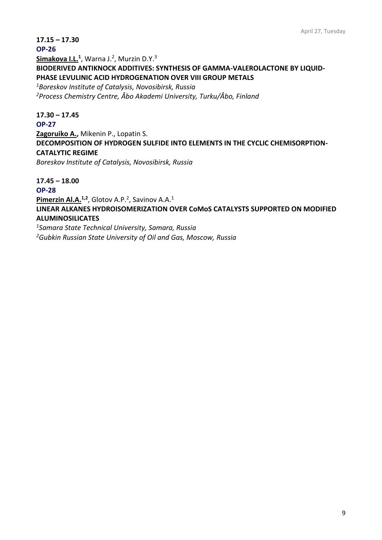#### **17.15 – 17.30**

#### **OP-26**

**Simakova I.L.<sup>1</sup>** , Warna J.<sup>2</sup> , Murzin D.Y.<sup>3</sup> **BIODERIVED ANTIKNOCK ADDITIVES: SYNTHESIS OF GAMMA-VALEROLACTONE BY LIQUID-PHASE LEVULINIC ACID HYDROGENATION OVER VIII GROUP METALS**

*<sup>1</sup>Boreskov Institute of Catalysis, Novosibirsk, Russia <sup>2</sup>Process Chemistry Centre, Åbo Akademi University, Turku/Åbo, Finland*

**17.30 – 17.45 OP-27 Zagoruiko A.,** Mikenin P., Lopatin S. **DECOMPOSITION OF HYDROGEN SULFIDE INTO ELEMENTS IN THE CYCLIC CHEMISORPTION-CATALYTIC REGIME**

*Boreskov Institute of Catalysis, Novosibirsk, Russia* 

**17.45 – 18.00**

**OP-28**

Pimerzin Al.A.<sup>1,2</sup>, Glotov A.P.<sup>2</sup>, Savinov A.A.<sup>1</sup>

**LINEAR ALKANES HYDROISOMERIZATION OVER CoMoS CATALYSTS SUPPORTED ON MODIFIED ALUMINOSILICATES** 

*<sup>1</sup>Samara State Technical University, Samara, Russia* 

*2Gubkin Russian State University of Oil and Gas, Moscow, Russia*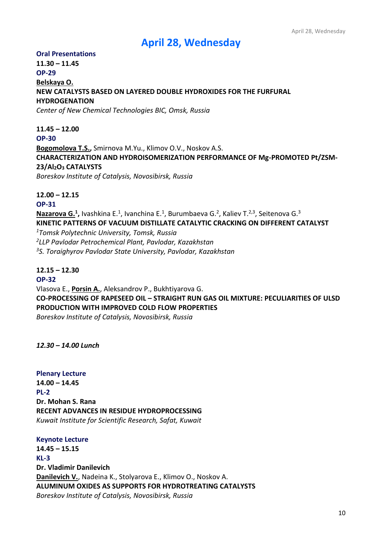# **April 28, Wednesday**

#### **Oral Presentations**

# **11.30 – 11.45 OP-29 Belskaya O. NEW CATALYSTS BASED ON LAYERED DOUBLE HYDROXIDES FOR THE FURFURAL HYDROGENATION** *Center of New Chemical Technologies BIC, Omsk, Russia*

# **11.45 – 12.00**

**OP-30**

**Bogomolova T.S.,** Smirnova M.Yu., Klimov O.V., Noskov A.S. **CHARACTERIZATION AND HYDROISOMERIZATION PERFORMANCE OF Mg-PROMOTED Pt/ZSM-23/Al2O<sup>3</sup> CATALYSTS**  *Boreskov Institute of Catalysis, Novosibirsk, Russia*

**12.00 – 12.15**

#### **OP-31**

Nazarova G.<sup>1</sup>, Ivashkina E.<sup>1</sup>, Ivanchina E.<sup>1</sup>, Burumbaeva G.<sup>2</sup>, Kaliev T.<sup>2,3</sup>, Seitenova G.<sup>3</sup> **KINETIC PATTERNS OF VACUUM DISTILLATE CATALYTIC CRACKING ON DIFFERENT CATALYST** *<sup>1</sup>Tomsk Polytechnic University, Tomsk, Russia 2 [LLP](https://www.multitran.com/m.exe?s=at+LLP&l1=1&l2=2) Pavlodar Petrochemical Plant, Pavlodar, Kazakhstan <sup>3</sup>S. Toraighyrov Pavlodar State University, Pavlodar, Kazakhstan*

#### **12.15 – 12.30**

**OP-32** Vlasova E., **Porsin A.**, Aleksandrov P., Bukhtiyarova G. **CO-PROCESSING OF RAPESEED OIL – STRAIGHT RUN GAS OIL MIXTURE: PECULIARITIES OF ULSD PRODUCTION WITH IMPROVED COLD FLOW PROPERTIES** *Boreskov Institute of Catalysis, Novosibirsk, Russia*

#### *12.30 – 14.00 Lunch*

**Plenary Lecture 14.00 – 14.45 PL-2 Dr. Mohan S. Rana RECENT ADVANCES IN RESIDUE HYDROPROCESSING** *Kuwait Institute for Scientific Research, Safat, Kuwait*

# **Keynote Lecture 14.45 – 15.15 KL-3 Dr. Vladimir Danilevich Danilevich V.**, Nadeina K., Stolyarova E., Klimov O., Noskov A. **ALUMINUM OXIDES AS SUPPORTS FOR HYDROTREATING CATALYSTS** *Boreskov Institute of Catalysis, Novosibirsk, Russia*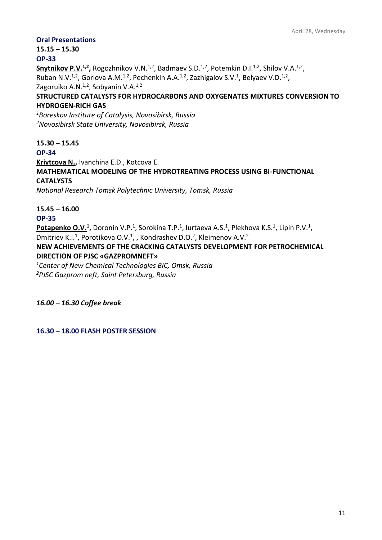#### **Oral Presentations**

**15.15 – 15.30 OP-33**

Snytnikov P.V.<sup>1,2</sup>, Rogozhnikov V.N.<sup>1,2</sup>, Badmaev S.D.<sup>1,2</sup>, Potemkin D.I.<sup>1,2</sup>, Shilov V.A.<sup>1,2</sup>, Ruban N.V.<sup>1,2</sup>, Gorlova A.M.<sup>1,2</sup>, Pechenkin A.A.<sup>1,2</sup>, Zazhigalov S.V.<sup>1</sup>, Belyaev V.D.<sup>1,2</sup>, Zagoruiko A.N.<sup>1,2</sup>, Sobyanin V.A.<sup>1,2</sup>

#### **STRUCTURED CATALYSTS FOR HYDROCARBONS AND OXYGENATES MIXTURES CONVERSION TO HYDROGEN-RICH GAS**

*<sup>1</sup>Boreskov Institute of Catalysis, Novosibirsk, Russia <sup>2</sup>Novosibirsk State University, Novosibirsk, Russia*

**15.30 – 15.45**

**OP-34**

**Krivtcova N.,** Ivanchina E.D., Kotcova E. **MATHEMATICAL MODELING OF THE HYDROTREATING PROCESS USING BI-FUNCTIONAL [CATALYSTS](https://context.reverso.net/%D0%BF%D0%B5%D1%80%D0%B5%D0%B2%D0%BE%D0%B4/%D0%B0%D0%BD%D0%B3%D0%BB%D0%B8%D0%B9%D1%81%D0%BA%D0%B8%D0%B9-%D1%80%D1%83%D1%81%D1%81%D0%BA%D0%B8%D0%B9/catalysts)** *National Research Tomsk Polytechnic University, Tomsk, Russia*

**15.45 – 16.00**

**OP-35**

Potapenko O.V.<sup>1</sup>, Doronin V.P.<sup>1</sup>, Sorokina T.P.<sup>1</sup>, Iurtaeva A.S.<sup>1</sup>, Plekhova K.S.<sup>1</sup>, Lipin P.V.<sup>1</sup>, Dmitriev K.I.<sup>1</sup>, Porotikova O.V.<sup>1</sup>, , Kondrashev D.O.<sup>2</sup>, Kleimenov A.V.<sup>2</sup>

**NEW ACHIEVEMENTS OF THE CRACKING CATALYSTS DEVELOPMENT FOR PETROCHEMICAL DIRECTION OF PJSC «GAZPROMNEFT»**

*<sup>1</sup>Center of New Chemical Technologies BIC, Omsk, Russia <sup>2</sup>PJSC Gazprom neft, Saint Petersburg, Russia*

*16.00 – 16.30 Coffee break*

**16.30 – 18.00 FLASH POSTER SESSION**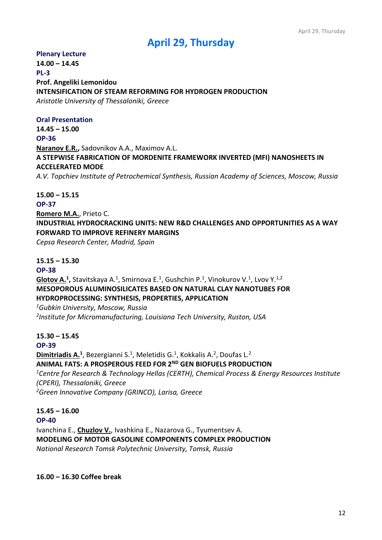# **April 29, Thursday**

#### **Plenary Lecture**

**14.00 – 14.45 PL-3 Prof. Angeliki Lemonidou INTENSIFICATION OF STEAM REFORMING FOR HYDROGEN PRODUCTION** *Aristotle University of Thessaloniki, Greece*

#### **Oral Presentation**

**14.45 – 15.00 OP-36 Naranov E.R.,** Sadovnikov A.A., Maximov A.L. **A STEPWISE FABRICATION OF MORDENITE FRAMEWORK INVERTED (MFI) NANOSHEETS IN ACCELERATED MODE** *A.V. Topchiev Institute of Petrochemical Synthesis, Russian Academy of Sciences, Moscow, Russia*

**15.00 – 15.15 OP-37 Romero M.A.**, Prieto C. **INDUSTRIAL HYDROCRACKING UNITS: NEW R&D CHALLENGES AND OPPORTUNITIES AS A WAY FORWARD TO IMPROVE REFINERY MARGINS** *Cepsa Research Center, Madrid, Spain*

#### **15.15 – 15.30**

#### **OP-38**

**Glotov A.<sup>1</sup>,** Stavitskaya A.<sup>1</sup>, Smirnova E.<sup>1</sup>, Gushchin P.<sup>1</sup>, Vinokurov V.<sup>1</sup>, Lvov Y.<sup>1,2</sup> **MESOPOROUS ALUMINOSILICATES BASED ON NATURAL CLAY NANOTUBES FOR HYDROPROCESSING: SYNTHESIS, PROPERTIES, APPLICATION**

*<sup>1</sup>Gubkin University, Moscow, Russia 2 Institute for Micromanufacturing, Louisiana Tech University, Ruston, USA*

#### **15.30 – 15.45 OP-39**

**Dimitriadis A.<sup>1</sup>**, Bezergianni S.<sup>1</sup>, Meletidis G.<sup>1</sup>, Kokkalis A.<sup>2</sup>, Doufas L.<sup>2</sup> **ANIMAL FATS: A PROSPEROUS FEED FOR 2ND GEN BIOFUELS PRODUCTION** 

*<sup>1</sup>Centre for Research & Technology Hellas (CERTH), Chemical Process & Energy Resources Institute (CPERI), Thessaloniki, Greece <sup>2</sup>Green Innovative Company (GRINCO), Larisa, Greece*

#### **15.45 – 16.00**

**OP-40**

Ivanchina E., **Chuzlov V.**, Ivashkina E., Nazarova G., Tyumentsev A. **MODELING OF MOTOR GASOLINE COMPONENTS COMPLEX PRODUCTION** *National Research Tomsk Polytechnic University, Tomsk, Russia*

**16.00 – 16.30 Coffee break**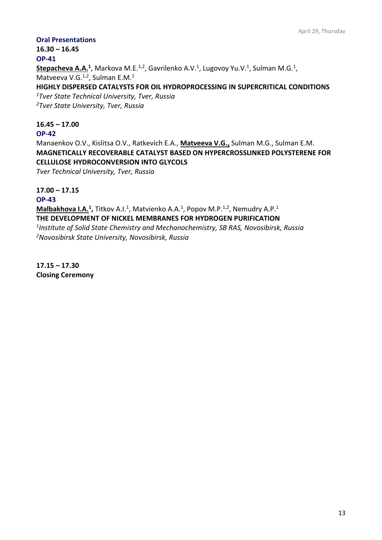#### **Oral Presentations**

**16.30 – 16.45 OP-41**

Stepacheva A.A.<sup>1</sup>, Markova M.E.<sup>1,2</sup>, Gavrilenko A.V.<sup>1</sup>, Lugovoy Yu.V.<sup>1</sup>, Sulman M.G.<sup>1</sup>, Matveeva V.G. $<sup>1,2</sup>$ , Sulman E.M. $<sup>1</sup>$ </sup></sup>

**HIGHLY DISPERSED CATALYSTS FOR OIL HYDROPROCESSING IN SUPERCRITICAL CONDITIONS**

*<sup>1</sup>Tver State Technical University, Tver, Russia <sup>2</sup>Tver State University, Tver, Russia*

#### **16.45 – 17.00**

**OP-42**

Manaenkov O.V., Kislitsa O.V., Ratkevich E.A., **Matveeva V.G.,** Sulman M.G., Sulman E.M. **MAGNETICALLY RECOVERABLE CATALYST BASED ON HYPERCROSSLINKED POLYSTERENE FOR CELLULOSE HYDROCONVERSION INTO GLYCOLS**

*Tver Technical University, Tver, Russia*

#### **17.00 – 17.15**

**OP-43**

**Malbakhova I.A.<sup>1</sup>,** Titkov A.I.<sup>1</sup>, Matvienko A.A.<sup>1</sup>, Popov M.P.<sup>1,2</sup>, Nemudry A.P.<sup>1</sup> **THE DEVELOPMENT OF NICKEL MEMBRANES FOR HYDROGEN PURIFICATION** *1 Institute of Solid State Chemistry and Mechanochemistry, SB RAS, Novosibirsk, Russia*

*<sup>2</sup>Novosibirsk State University, Novosibirsk, Russia*

**17.15 – 17.30 Closing Ceremony**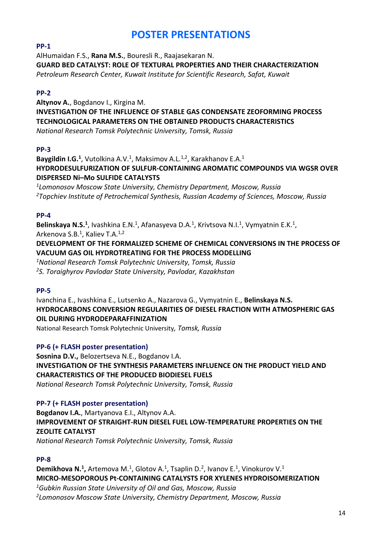# **POSTER PRESENTATIONS**

# **PP-1**

AlHumaidan F.S., **Rana M.S.**, Bouresli R., Raajasekaran N. **GUARD BED CATALYST: ROLE OF TEXTURAL PROPERTIES AND THEIR CHARACTERIZATION** *Petroleum Research Center, Kuwait Institute for Scientific Research, Safat, Kuwait*

# **PP-2**

**Altynov A.**, Bogdanov I., Kirgina M. **INVESTIGATION OF THE INFLUENCE OF STABLE GAS CONDENSATE ZEOFORMING PROCESS TECHNOLOGICAL PARAMETERS ON THE OBTAINED PRODUCTS CHARACTERISTICS** *National Research Tomsk Polytechnic University, Tomsk, Russia*

# **PP-3**

Baygildin I.G.<sup>1</sup>, Vutolkina A.V.<sup>1</sup>, Maksimov A.L.<sup>1,2</sup>, Karakhanov E.A.<sup>1</sup> **HYDRODESULFURIZATION OF SULFUR-CONTAINING AROMATIC COMPOUNDS VIA WGSR OVER DISPERSED Ni–Mo SULFIDE CATALYSTS**

*1 Lomonosov Moscow State University, Chemistry Department, Moscow, Russia <sup>2</sup>Topchiev Institute of Petrochemical Synthesis, Russian Academy of Sciences, Moscow, Russia*

# **PP-4**

Belinskaya N.S.<sup>1</sup>, Ivashkina E.N.<sup>1</sup>, Afanasyeva D.A.<sup>1</sup>, Krivtsova N.I.<sup>1</sup>, Vymyatnin E.K.<sup>1</sup>, Arkenova S.B.<sup>1</sup>, Kaliev T.A.<sup>1,2</sup>

**DEVELOPMENT OF THE FORMALIZED SCHEME OF CHEMICAL CONVERSIONS IN THE PROCESS OF VACUUM GAS OIL HYDROTREATING FOR THE PROCESS MODELLING**

*<sup>1</sup>National Research Tomsk Polytechnic University, Tomsk, Russia <sup>2</sup>S. Toraighyrov Pavlodar State University, Pavlodar, Kazakhstan*

# **PP-5**

Ivanchina E., Ivashkina E., Lutsenko A., Nazarova G., Vymyatnin E., **Belinskaya N.S. HYDROCARBONS CONVERSION REGULARITIES OF DIESEL FRACTION WITH ATMOSPHERIC GAS OIL DURING HYDRODEPARAFFINIZATION**

National Research Tomsk Polytechnic University*, Tomsk, Russia*

#### **PP-6 (+ FLASH poster presentation)**

**Sosnina D.V.,** Belozertseva N.E., Bogdanov I.A. **INVESTIGATION OF THE SYNTHESIS PARAMETERS INFLUENCE ON THE PRODUCT YIELD AND CHARACTERISTICS OF THE PRODUCED BIODIESEL FUELS** *National Research Tomsk Polytechnic University, Tomsk, Russia*

#### **PP-7 (+ FLASH poster presentation)**

**Bogdanov I.A.**, Martyanova E.I., Altynov A.A. **IMPROVEMENT OF STRAIGHT-RUN DIESEL FUEL LOW-TEMPERATURE PROPERTIES ON THE ZEOLITE CATALYST** *National Research Tomsk Polytechnic University, Tomsk, Russia*

#### **PP-8**

Demikhova N.<sup>1</sup>, Artemova M.<sup>1</sup>, Glotov A.<sup>1</sup>, Tsaplin D.<sup>2</sup>, Ivanov E.<sup>1</sup>, Vinokurov V.<sup>1</sup> **MICRO-MESOPOROUS Pt-CONTAINING CATALYSTS FOR XYLENES HYDROISOMERIZATION**

*<sup>1</sup>Gubkin Russian State University of Oil and Gas, Moscow, Russia*

*2 Lomonosov Moscow State University, Chemistry Department, Moscow, Russia*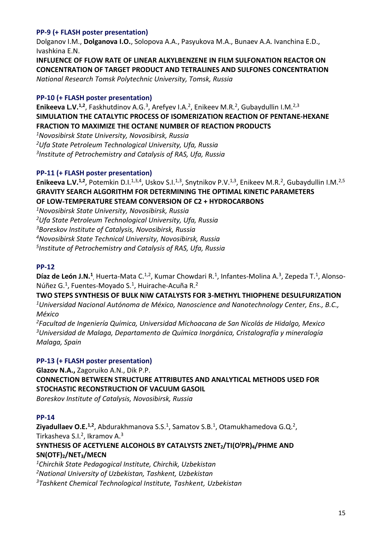#### **PP-9 (+ FLASH poster presentation)**

Dolganov I.М., **Dolganova I.О.**, Solopova A.А., Pasyukova M.А., Bunaev A.А. Ivanchina E.D., Ivashkina E.N.

**INFLUENCE OF FLOW RATE OF LINEAR ALKYLBENZENE IN FILM SULFONATION REACTOR ON CONCENTRATION OF TARGET PRODUCT AND TETRALINES AND SULFONES CONCENTRATION** *National Research Tomsk Polytechnic University, Tomsk, Russia*

#### **PP-10 (+ FLASH poster presentation)**

Enikeeva L.V.<sup>1,2</sup>, Faskhutdinov A.G.<sup>3</sup>, Arefyev I.A.<sup>2</sup>, Enikeev M.R.<sup>2</sup>, Gubaydullin I.M.<sup>2,3</sup> **SIMULATION THE CATALYTIC PROCESS OF ISOMERIZATION REACTION OF PENTANE-HEXANE FRACTION TO MAXIMIZE THE OCTANE NUMBER OF REACTION PRODUCTS**

*<sup>1</sup>Novosibirsk State University, Novosibirsk, Russia*

*<sup>2</sup>Ufa State Petroleum Technological University, Ufa, Russia*

*3 Institute of Petrochemistry and Catalysis of RAS, Ufa, Russia*

#### **PP-11 (+ FLASH poster presentation)**

**Enikeeva L.V.<sup>1,2</sup>, Potemkin D.I.<sup>1,3,4</sup>, Uskov S.I.<sup>1,3</sup>, Snytnikov P.V.<sup>1,3</sup>, Enikeev M.R.<sup>2</sup>, Gubaydullin I.M.<sup>2,5</sup> GRAVITY SEARCH ALGORITHM FOR DETERMINING THE OPTIMAL KINETIC PARAMETERS OF LOW-TEMPERATURE STEAM CONVERSION OF C2 + HYDROCARBONS**

*<sup>1</sup>Novosibirsk State University, Novosibirsk, Russia*

*<sup>2</sup>Ufa State Petroleum Technological University, Ufa, Russia*

*<sup>3</sup>Boreskov Institute of Catalysis, Novosibirsk, Russia*

*<sup>4</sup>Novosibirsk State Technical University, Novosibirsk, Russia*

*5 Institute of Petrochemistry and Catalysis of RAS, Ufa, Russia*

#### **PP-12**

Díaz de León J.N.<sup>1</sup>, Huerta-Mata C.<sup>1,2</sup>, Kumar Chowdari R.<sup>1</sup>, Infantes-Molina A.<sup>3</sup>, Zepeda T.<sup>1</sup>, Alonso-Núñez G.<sup>1</sup>, Fuentes-Moyado S.<sup>1</sup>, Huirache-Acuña R.<sup>2</sup>

**TWO STEPS SYNTHESIS OF BULK NiW CATALYSTS FOR 3-METHYL THIOPHENE DESULFURIZATION** *<sup>1</sup>Universidad Nacional Autónoma de México, Nanoscience and Nanotechnology Center, Ens., B.C., México*

*<sup>2</sup>Facultad de Ingeniería Química, Universidad Michoacana de San Nicolás de Hidalgo, Mexico <sup>3</sup>Universidad de Malaga, Departamento de Química Inorgánica, Cristalografía y mineralogía Malaga, Spain*

#### **PP-13 (+ FLASH poster presentation)**

**Glazov N.A.,** Zagoruiko A.N., Dik P.P.

**CONNECTION BETWEEN STRUCTURE ATTRIBUTES AND ANALYTICAL METHODS USED FOR STOCHASTIC RECONSTRUCTION OF VACUUM GASOIL**

*Boreskov Institute of Catalysis, Novosibirsk, Russia*

#### **PP-14**

Ziyadullaev O.E.<sup>1,2</sup>, Abdurakhmanova S.S.<sup>1</sup>, Samatov S.B.<sup>1</sup>, Otamukhamedova G.Q.<sup>2</sup>, Tirkasheva S.I.<sup>2</sup>, Ikramov A.<sup>3</sup>

**SYNTHESIS OF ACETYLENE ALCOHOLS BY CATALYSTS ZNET2/TI(O<sup>I</sup>PR)4/PHME AND SN(OTF)2/NET3/MECN**

*<sup>1</sup>Chirchik State Pedagogical Institute, Chirchik, Uzbekistan*

*<sup>2</sup>National University of Uzbekistan, Tashkent, Uzbekistan*

*<sup>3</sup>Tashkent Chemical Technological Institute, Tashkent, Uzbekistan*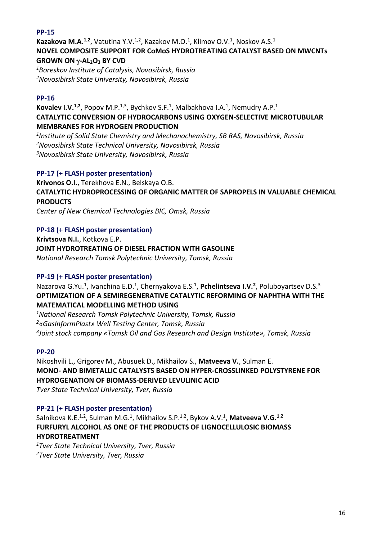#### **PP-15**

Kazakova M.A.<sup>1,2</sup>, Vatutina Y.V.<sup>1,2</sup>, Kazakov M.O.<sup>1</sup>, Klimov O.V.<sup>1</sup>, Noskov A.S.<sup>1</sup> **NOVEL COMPOSITE SUPPORT FOR CoMoS HYDROTREATING CATALYST BASED ON MWCNTs GROWN ON -AL2O<sup>3</sup> BY CVD**

*<sup>1</sup>Boreskov Institute of Catalysis, Novosibirsk, Russia <sup>2</sup>Novosibirsk State University, Novosibirsk, Russia*

#### **PP-16**

Kovalev I.V.<sup>1,2</sup>, Popov M.P.<sup>1,3</sup>, Bychkov S.F.<sup>1</sup>, Malbakhova I.A.<sup>1</sup>, Nemudry A.P.<sup>1</sup> **CATALYTIC CONVERSION OF HYDROCARBONS USING OXYGEN-SELECTIVE MICROTUBULAR MEMBRANES FOR HYDROGEN PRODUCTION**

*1 Institute of Solid State Chemistry and Mechanochemistry, SB RAS, Novosibirsk, Russia <sup>2</sup>Novosibirsk State Technical University, Novosibirsk, Russia <sup>3</sup>Novosibirsk State University, Novosibirsk, Russia*

#### **PP-17 (+ FLASH poster presentation)**

**Krivonos O.I.**, Terekhova E.N., Belskaya O.B.

**CATALYTIC HYDROPROCESSING OF ORGANIC MATTER OF SAPROPELS IN VALUABLE CHEMICAL PRODUCTS**

*Center of New Chemical Technologies BIC, Omsk, Russia*

#### **PP-18 (+ FLASH poster presentation)**

**Krivtsova N.I.**, Kotkova E.P. **JOINT HYDROTREATING OF DIESEL FRACTION WITH GASOLINE** *National Research Tomsk Polytechnic University, Tomsk, Russia*

#### **PP-19 (+ FLASH poster presentation)**

Nazarova G.Yu.<sup>1</sup>, Ivanchina E.D.<sup>1</sup>, Chernyakova E.S.<sup>1</sup>, **Pchelintseva I.V.<sup>2</sup>**, Poluboyartsev D.S.<sup>3</sup> **OPTIMIZATION OF A SEMIREGENERATIVE CATALYTIC REFORMING OF NAPHTHA WITH THE MATEMATICAL MODELLING METHOD USING**

*<sup>1</sup>National Research Tomsk Polytechnic University, Tomsk, Russia <sup>2</sup>«GasInformPlast» Well Testing Center, Tomsk, Russia 3 Joint stock company «Tomsk Oil and Gas Research and Design Institute», Tomsk, Russia*

#### **PP-20**

Nikoshvili L., Grigorev M., Abusuek D., Mikhailov S., **Matveeva V.**, Sulman E. **MONO- AND BIMETALLIC CATALYSTS BASED ON HYPER-CROSSLINKED POLYSTYRENE FOR HYDROGENATION OF BIOMASS-DERIVED LEVULINIC ACID** *Tver State Technical University, Tver, Russia*

#### **PP-21 (+ FLASH poster presentation)**

Salnikova K.E.<sup>1,2</sup>, Sulman M.G.<sup>1</sup>, Mikhailov S.P.<sup>1,2</sup>, Bykov A.V.<sup>1</sup>, Matveeva V.G.<sup>1,2</sup> **FURFURYL ALCOHOL AS ONE OF THE PRODUCTS OF LIGNOCELLULOSIC BIOMASS HYDROTREATMENT**

*<sup>1</sup>Tver State Technical University, Tver, Russia 2Tver State University, Tver, Russia*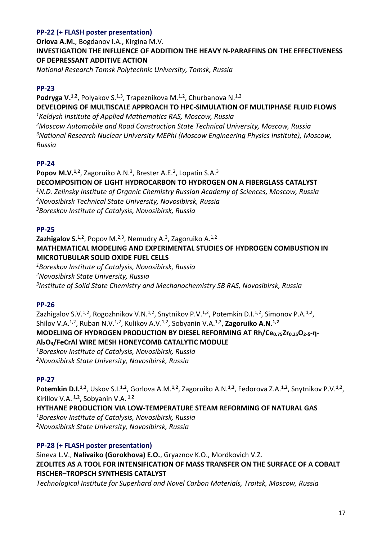# **PP-22 (+ FLASH poster presentation)**

**Orlova A.M.**, Bogdanov I.A., Kirgina M.V. **INVESTIGATION THE INFLUENCE OF ADDITION THE HEAVY N-PARAFFINS ON THE EFFECTIVENESS OF DEPRESSANT ADDITIVE ACTION**

*National Research Tomsk Polytechnic University, Tomsk, Russia*

#### **PP-23**

**Podryga V.<sup>1,2</sup>, Polyakov S.<sup>1,3</sup>, Trapeznikova M.<sup>1,2</sup>, Churbanova N.<sup>1,2</sup> DEVELOPING OF MULTISCALE APPROACH TO HPC-SIMULATION OF MULTIPHASE FLUID FLOWS** *<sup>1</sup>Keldysh Institute of Applied Mathematics RAS, Moscow, Russia <sup>2</sup>Moscow Automobile and Road Construction State Technical University, Moscow, Russia <sup>3</sup>National Research Nuclear University MEPhI (Moscow Engineering Physics Institute), Moscow, Russia*

#### **PP-24**

Popov M.V.<sup>1,2</sup>, Zagoruiko A.N.<sup>3</sup>, Brester A.E.<sup>2</sup>, Lopatin S.A.<sup>3</sup> **DECOMPOSITION OF LIGHT HYDROCARBON TO HYDROGEN ON A FIBERGLASS CATALYST** *<sup>1</sup>N.D. Zelinsky Institute of Organic Chemistry Russian Academy of Sciences, Moscow, Russia <sup>2</sup>Novosibirsk Technical State University, Novosibirsk, Russia <sup>3</sup>Boreskov Institute of Catalysis, Novosibirsk, Russia*

#### **PP-25**

**Zazhigalov S.<sup>1,2</sup>, Popov M.<sup>2,3</sup>, Nemudry A.<sup>3</sup>, Zagoruiko A.<sup>1,2</sup> MATHEMATICAL MODELING AND EXPERIMENTAL STUDIES OF HYDROGEN COMBUSTION IN MICROTUBULAR SOLID OXIDE FUEL CELLS** *<sup>1</sup>Boreskov Institute of Catalysis, Novosibirsk, Russia* 

*<sup>2</sup>Novosibirsk State University, Russia 3 Institute of Solid State Chemistry and Mechanochemistry SB RAS, Novosibirsk, Russia*

#### **PP-26**

Zazhigalov S.V.<sup>1,2</sup>, Rogozhnikov V.N.<sup>1,2</sup>, Snytnikov P.V.<sup>1,2</sup>, Potemkin D.I.<sup>1,2</sup>, Simonov P.A.<sup>1,2</sup>, Shilov V.A.<sup>1,2</sup>, Ruban N.V.<sup>1,2</sup>, Kulikov A.V.<sup>1,2</sup>, Sobyanin V.A.<sup>1,2</sup>, Zagoruiko A.N.<sup>1,2</sup> **MODELING OF HYDROGEN PRODUCTION BY DIESEL REFORMING AT Rh/Ce<sub>0.75</sub>Zr<sub>0.25</sub>O<sub>2-</sub>** $\delta$ **-n-Al2O3/FeCrAl WIRE MESH HONEYCOMB CATALYTIC MODULE** *<sup>1</sup>Boreskov Institute of Catalysis, Novosibirsk, Russia*

*<sup>2</sup>Novosibirsk State University, Novosibirsk, Russia*

#### **PP-27**

**Potemkin D.I.1,2** , Uskov S.I.**1,2**, Gorlova A.M.**1,2**, Zagoruiko A.N.**1,2**, Fedorova Z.A.**1,2**, Snytnikov P.V.**1,2** , Kirillov V.A. **1,2**, Sobyanin V.A. **1,2**

**HYTHANE PRODUCTION VIA LOW-TEMPERATURE STEAM REFORMING OF NATURAL GAS** *<sup>1</sup>Boreskov Institute of Catalysis, Novosibirsk, Russia*

*<sup>2</sup>Novosibirsk State University, Novosibirsk, Russia*

#### **PP-28 (+ FLASH poster presentation)**

Sineva L.V., **Nalivaiko (Gorokhova) E.O.**, Gryaznov K.O., Mordkovich V.Z. **ZEOLITES AS A TOOL FOR INTENSIFICATION OF MASS TRANSFER ON THE SURFACE OF A COBALT FISCHER–TROPSCH SYNTHESIS CATALYST**

*Technological Institute for Superhard and Novel Carbon Materials, Troitsk, Moscow, Russia*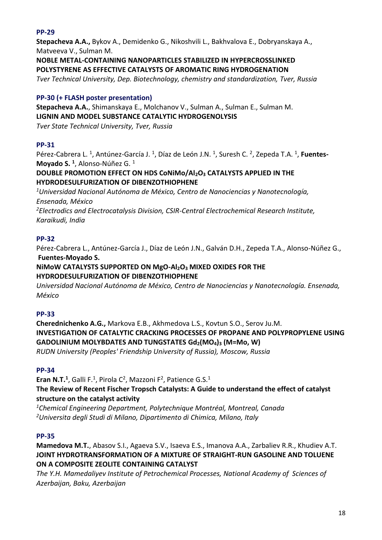# **PP-29**

**Stepacheva A.A.,** Bykov A., Demidenko G., Nikoshvili L., Bakhvalova E., Dobryanskaya A., Matveeva V., Sulman M.

**NOBLE METAL-CONTAINING NANOPARTICLES STABILIZED IN HYPERCROSSLINKED POLYSTYRENE AS EFFECTIVE CATALYSTS OF AROMATIC RING HYDROGENATION**

*Tver Technical University, Dep. Biotechnology, chemistry and standardization, Tver, Russia*

# **PP-30 (+ FLASH poster presentation)**

**Stepacheva A.A.**, Shimanskaya E., Molchanov V., Sulman A., Sulman E., Sulman M. **LIGNIN AND MODEL SUBSTANCE CATALYTIC HYDROGENOLYSIS** *Tver State Technical University, Tver, Russia*

# **PP-31**

Pérez-Cabrera L.<sup>1</sup>, Antúnez-García J.<sup>1</sup>, Díaz de León J.N.<sup>1</sup>, Suresh C.<sup>2</sup>, Zepeda T.A.<sup>1</sup>, **Fuentes-Moyado S. <sup>1</sup>** , Alonso-Núñez G. <sup>1</sup>

#### **DOUBLE PROMOTION EFFECT ON HDS CoNiMo/Al2O<sup>3</sup> CATALYSTS APPLIED IN THE HYDRODESULFURIZATION OF DIBENZOTHIOPHENE**

*<sup>1</sup>Universidad Nacional Autónoma de México, Centro de Nanociencias y Nanotecnología, Ensenada, México <sup>2</sup>Electrodics and Electrocatalysis Division, CSIR-Central Electrochemical Research Institute,* 

*Karaikudi, India*

#### **PP-32**

Pérez-Cabrera L., Antúnez-García J., Díaz de León J.N., Galván D.H., Zepeda T.A., Alonso-Núñez G., **Fuentes-Moyado S.**

#### **NiMoW CATALYSTS SUPPORTED ON MgO-Al2O<sup>3</sup> MIXED OXIDES FOR THE HYDRODESULFURIZATION OF DIBENZOTHIOPHENE**

*Universidad Nacional Autónoma de México, Centro de Nanociencias y Nanotecnología. Ensenada, México*

# **PP-33**

**Cherednichenko A.G.,** Markova E.B., Akhmedova L.S., Kovtun S.O., Serov Ju.M. **INVESTIGATION OF CATALYTIC CRACKING PROCESSES OF PROPANE AND POLYPROPYLENE USING GADOLINIUM MOLYBDATES AND TUNGSTATES Gd2(MO4)<sup>3</sup> (М=Mo, W)** *RUDN University (Peoples' Friendship University of Russia), Moscow, Russia*

#### **PP-34**

**Eran N.T.<sup>1</sup>**, Galli F.<sup>1</sup>, Pirola C<sup>2</sup>, Mazzoni F<sup>2</sup>, Patience G.S.<sup>1</sup> **The Review of Recent Fischer Tropsch Catalysts: A Guide to understand the effect of catalyst structure on the catalyst activity**

*<sup>1</sup>Chemical Engineering Department, Polytechnique Montréal, Montreal, Canada <sup>2</sup>Universita degli Studi di Milano, Dipartimento di Chimica, Milano, Italy*

#### **PP-35**

**Mamedova M.T.**, Abasov S.I., Agaeva S.V., Isaeva E.S., Imanova A.A., Zarbaliev R.R., Khudiev A.T. **JOINT HYDROTRANSFORMATION OF A MIXTURE OF STRAIGHT-RUN GASOLINE AND TOLUENE ON A COMPOSITE ZEOLITE CONTAINING CATALYST**

*The Y.H. Mamedaliyev Institute of Petrochemical Processes, National Academy of Sciences of Azerbaijan, Baku, Azerbaijan*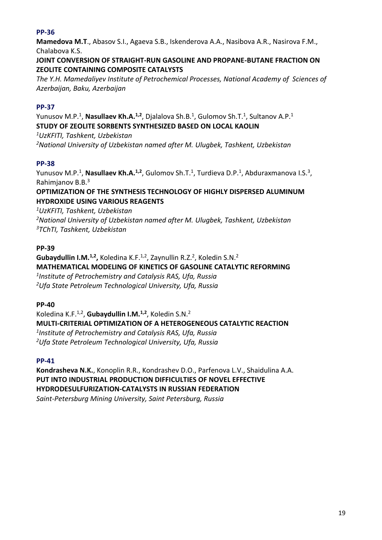# **PP-36**

**Mamedova M.T**., Abasov S.I., Agaeva S.B., Iskenderova A.A., Nasibova A.R., Nasirova F.M., Chalabova K.S.

#### **JOINT CONVERSION OF STRAIGHT-RUN GASOLINE AND PROPANE-BUTANE FRACTION ON ZEOLITE CONTAINING COMPOSITE CATALYSTS**

*The Y.H. Mamedaliyev Institute of Petrochemical Processes, National Academy of Sciences of Azerbaijan, Baku, Azerbaijan*

# **PP-37**

Yunusov M.P.<sup>1</sup>, **Nasullaev Kh.A.<sup>1,2</sup>**, Djalalova Sh.B.<sup>1</sup>, Gulomov Sh.T.<sup>1</sup>, Sultanov A.P.<sup>1</sup> **STUDY OF ZEOLITE SORBENTS SYNTHESIZED BASED ON LOCAL KAOLIN**

*<sup>1</sup>UzKFITI, Tashkent, Uzbekistan <sup>2</sup>National University of Uzbekistan named after M. Ulugbek, Tashkent, Uzbekistan*

# **PP-38**

Yunusov M.P.<sup>1</sup>, **Nasullaev Kh.A.<sup>1,2</sup>, G**ulomov Sh.T.<sup>1</sup>, Turdieva D.P.<sup>1</sup>, Abduraxmanova I.S.<sup>3</sup>, Rahimjanov B.B.<sup>3</sup>

## **OPTIMIZATION OF THE SYNTHESIS TECHNOLOGY OF HIGHLY DISPERSED ALUMINUM HYDROXIDE USING VARIOUS REAGENTS**

*<sup>1</sup>UzKFITI, Tashkent, Uzbekistan*

*<sup>2</sup>National University of Uzbekistan named after M. Ulugbek, Tashkent, Uzbekistan <sup>3</sup>TChTI, Tashkent, Uzbekistan*

# **PP-39**

Gubaydullin I.M.<sup>1,2</sup>, Koledina K.F.<sup>1,2</sup>, Zaynullin R.Z.<sup>2</sup>, Koledin S.N.<sup>2</sup> **MATHEMATICAL MODELING OF KINETICS OF GASOLINE CATALYTIC REFORMING** *1 Institute of Petrochemistry and Catalysis RAS, Ufa, Russia <sup>2</sup>Ufa State Petroleum Technological University, Ufa, Russia*

#### **PP-40**

Koledina K.F.1,2 , **Gubaydullin I.M.1,2**, Koledin S.N.<sup>2</sup> **MULTI-CRITERIAL OPTIMIZATION OF A HETEROGENEOUS CATALYTIC REACTION** *1 Institute of Petrochemistry and Catalysis RAS, Ufa, Russia <sup>2</sup>Ufa State Petroleum Technological University, Ufa, Russia*

#### **PP-41**

**Kondrasheva N.K.**, Konoplin R.R., Kondrashev D.O., Parfenova L.V., Shaidulina A.A. **PUT INTO INDUSTRIAL PRODUCTION DIFFICULTIES OF NOVEL EFFECTIVE HYDRODESULFURIZATION-CATALYSTS IN RUSSIAN FEDERATION** *Saint-Petersburg Mining University, Saint Petersburg, Russia*